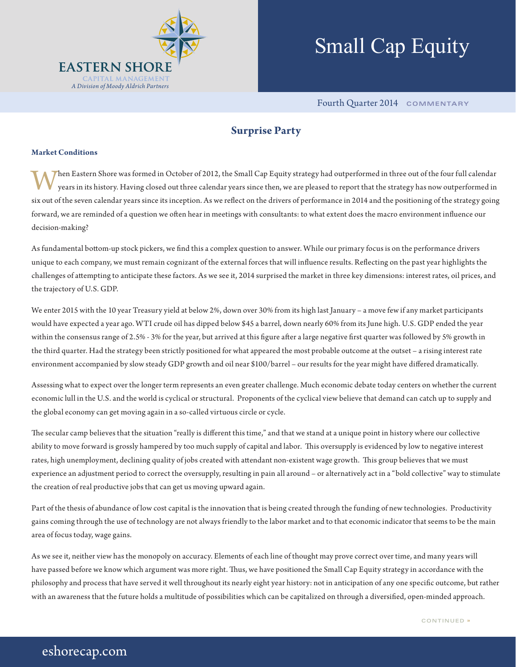

# Small Cap Equity

Fourth Quarter 2014 **COMMENTARY**

# **Surprise Party**

## **Market Conditions**

When Eastern Shore was formed in October of 2012, the Small Cap Equity strategy had outperformed in three out of the four full calendar years in its history. Having closed out three calendar years since then, we are pleased to report that the strategy has now outperformed in six out of the seven calendar years since its inception. As we reflect on the drivers of performance in 2014 and the positioning of the strategy going forward, we are reminded of a question we often hear in meetings with consultants: to what extent does the macro environment influence our decision-making?

As fundamental bottom-up stock pickers, we find this a complex question to answer. While our primary focus is on the performance drivers unique to each company, we must remain cognizant of the external forces that will influence results. Reflecting on the past year highlights the challenges of attempting to anticipate these factors. As we see it, 2014 surprised the market in three key dimensions: interest rates, oil prices, and the trajectory of U.S. GDP.

We enter 2015 with the 10 year Treasury yield at below 2%, down over 30% from its high last January – a move few if any market participants would have expected a year ago. WTI crude oil has dipped below \$45 a barrel, down nearly 60% from its June high. U.S. GDP ended the year within the consensus range of 2.5% - 3% for the year, but arrived at this figure after a large negative first quarter was followed by 5% growth in the third quarter. Had the strategy been strictly positioned for what appeared the most probable outcome at the outset – a rising interest rate environment accompanied by slow steady GDP growth and oil near \$100/barrel – our results for the year might have differed dramatically.

Assessing what to expect over the longer term represents an even greater challenge. Much economic debate today centers on whether the current economic lull in the U.S. and the world is cyclical or structural. Proponents of the cyclical view believe that demand can catch up to supply and the global economy can get moving again in a so-called virtuous circle or cycle.

The secular camp believes that the situation "really is different this time," and that we stand at a unique point in history where our collective ability to move forward is grossly hampered by too much supply of capital and labor. This oversupply is evidenced by low to negative interest rates, high unemployment, declining quality of jobs created with attendant non-existent wage growth. This group believes that we must experience an adjustment period to correct the oversupply, resulting in pain all around – or alternatively act in a "bold collective" way to stimulate the creation of real productive jobs that can get us moving upward again.

Part of the thesis of abundance of low cost capital is the innovation that is being created through the funding of new technologies. Productivity gains coming through the use of technology are not always friendly to the labor market and to that economic indicator that seems to be the main area of focus today, wage gains.

As we see it, neither view has the monopoly on accuracy. Elements of each line of thought may prove correct over time, and many years will have passed before we know which argument was more right. Thus, we have positioned the Small Cap Equity strategy in accordance with the philosophy and process that have served it well throughout its nearly eight year history: not in anticipation of any one specific outcome, but rather with an awareness that the future holds a multitude of possibilities which can be capitalized on through a diversified, open-minded approach.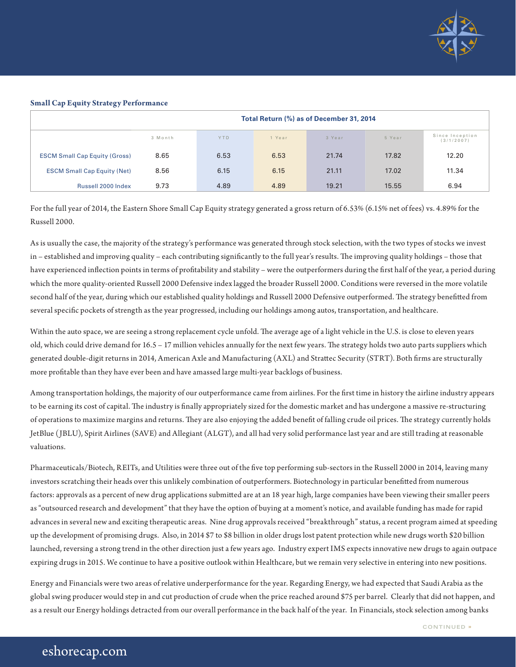

### **Small Cap Equity Strategy Performance**

|                                      | Total Return (%) as of December 31, 2014 |            |        |        |        |                               |
|--------------------------------------|------------------------------------------|------------|--------|--------|--------|-------------------------------|
|                                      | 3 Month                                  | <b>YTD</b> | 1 Year | 3 Year | 5 Year | Since Inception<br>(3/1/2007) |
| <b>ESCM Small Cap Equity (Gross)</b> | 8.65                                     | 6.53       | 6.53   | 21.74  | 17.82  | 12.20                         |
| <b>ESCM Small Cap Equity (Net)</b>   | 8.56                                     | 6.15       | 6.15   | 21.11  | 17.02  | 11.34                         |
| Russell 2000 Index                   | 9.73                                     | 4.89       | 4.89   | 19.21  | 15.55  | 6.94                          |

For the full year of 2014, the Eastern Shore Small Cap Equity strategy generated a gross return of 6.53% (6.15% net of fees) vs. 4.89% for the Russell 2000.

As is usually the case, the majority of the strategy's performance was generated through stock selection, with the two types of stocks we invest in – established and improving quality – each contributing significantly to the full year's results. The improving quality holdings – those that have experienced inflection points in terms of profitability and stability – were the outperformers during the first half of the year, a period during which the more quality-oriented Russell 2000 Defensive index lagged the broader Russell 2000. Conditions were reversed in the more volatile second half of the year, during which our established quality holdings and Russell 2000 Defensive outperformed. The strategy benefitted from several specific pockets of strength as the year progressed, including our holdings among autos, transportation, and healthcare.

Within the auto space, we are seeing a strong replacement cycle unfold. The average age of a light vehicle in the U.S. is close to eleven years old, which could drive demand for 16.5 – 17 million vehicles annually for the next few years. The strategy holds two auto parts suppliers which generated double-digit returns in 2014, American Axle and Manufacturing (AXL) and Strattec Security (STRT). Both firms are structurally more profitable than they have ever been and have amassed large multi-year backlogs of business.

Among transportation holdings, the majority of our outperformance came from airlines. For the first time in history the airline industry appears to be earning its cost of capital. The industry is finally appropriately sized for the domestic market and has undergone a massive re-structuring of operations to maximize margins and returns. They are also enjoying the added benefit of falling crude oil prices. The strategy currently holds JetBlue (JBLU), Spirit Airlines (SAVE) and Allegiant (ALGT), and all had very solid performance last year and are still trading at reasonable valuations.

Pharmaceuticals/Biotech, REITs, and Utilities were three out of the five top performing sub-sectors in the Russell 2000 in 2014, leaving many investors scratching their heads over this unlikely combination of outperformers. Biotechnology in particular benefitted from numerous factors: approvals as a percent of new drug applications submitted are at an 18 year high, large companies have been viewing their smaller peers as "outsourced research and development" that they have the option of buying at a moment's notice, and available funding has made for rapid advances in several new and exciting therapeutic areas. Nine drug approvals received "breakthrough" status, a recent program aimed at speeding up the development of promising drugs. Also, in 2014 \$7 to \$8 billion in older drugs lost patent protection while new drugs worth \$20 billion launched, reversing a strong trend in the other direction just a few years ago. Industry expert IMS expects innovative new drugs to again outpace expiring drugs in 2015. We continue to have a positive outlook within Healthcare, but we remain very selective in entering into new positions.

Energy and Financials were two areas of relative underperformance for the year. Regarding Energy, we had expected that Saudi Arabia as the global swing producer would step in and cut production of crude when the price reached around \$75 per barrel. Clearly that did not happen, and as a result our Energy holdings detracted from our overall performance in the back half of the year. In Financials, stock selection among banks

# eshorecap.com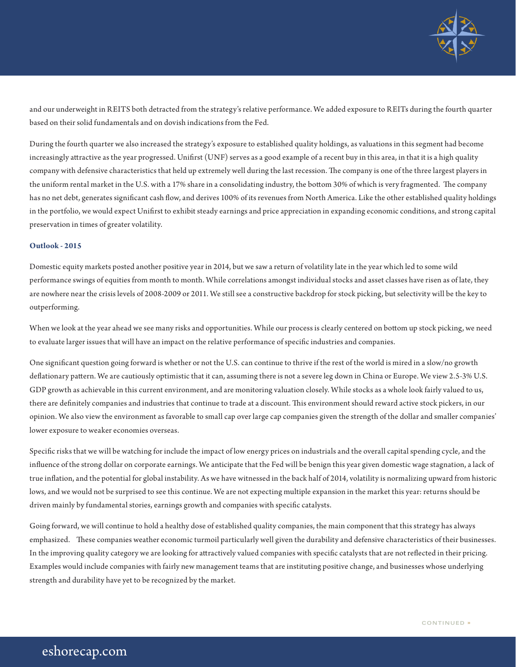

and our underweight in REITS both detracted from the strategy's relative performance. We added exposure to REITs during the fourth quarter based on their solid fundamentals and on dovish indications from the Fed.

During the fourth quarter we also increased the strategy's exposure to established quality holdings, as valuations in this segment had become increasingly attractive as the year progressed. Unifirst (UNF) serves as a good example of a recent buy in this area, in that it is a high quality company with defensive characteristics that held up extremely well during the last recession. The company is one of the three largest players in the uniform rental market in the U.S. with a 17% share in a consolidating industry, the bottom 30% of which is very fragmented. The company has no net debt, generates significant cash flow, and derives 100% of its revenues from North America. Like the other established quality holdings in the portfolio, we would expect Unifirst to exhibit steady earnings and price appreciation in expanding economic conditions, and strong capital preservation in times of greater volatility.

# **Outlook - 2015**

Domestic equity markets posted another positive year in 2014, but we saw a return of volatility late in the year which led to some wild performance swings of equities from month to month. While correlations amongst individual stocks and asset classes have risen as of late, they are nowhere near the crisis levels of 2008-2009 or 2011. We still see a constructive backdrop for stock picking, but selectivity will be the key to outperforming.

When we look at the year ahead we see many risks and opportunities. While our process is clearly centered on bottom up stock picking, we need to evaluate larger issues that will have an impact on the relative performance of specific industries and companies.

One significant question going forward is whether or not the U.S. can continue to thrive if the rest of the world is mired in a slow/no growth deflationary pattern. We are cautiously optimistic that it can, assuming there is not a severe leg down in China or Europe. We view 2.5-3% U.S. GDP growth as achievable in this current environment, and are monitoring valuation closely. While stocks as a whole look fairly valued to us, there are definitely companies and industries that continue to trade at a discount. This environment should reward active stock pickers, in our opinion. We also view the environment as favorable to small cap over large cap companies given the strength of the dollar and smaller companies' lower exposure to weaker economies overseas.

Specific risks that we will be watching for include the impact of low energy prices on industrials and the overall capital spending cycle, and the influence of the strong dollar on corporate earnings. We anticipate that the Fed will be benign this year given domestic wage stagnation, a lack of true inflation, and the potential for global instability. As we have witnessed in the back half of 2014, volatility is normalizing upward from historic lows, and we would not be surprised to see this continue. We are not expecting multiple expansion in the market this year: returns should be driven mainly by fundamental stories, earnings growth and companies with specific catalysts.

Going forward, we will continue to hold a healthy dose of established quality companies, the main component that this strategy has always emphasized. These companies weather economic turmoil particularly well given the durability and defensive characteristics of their businesses. In the improving quality category we are looking for attractively valued companies with specific catalysts that are not reflected in their pricing. Examples would include companies with fairly new management teams that are instituting positive change, and businesses whose underlying strength and durability have yet to be recognized by the market.